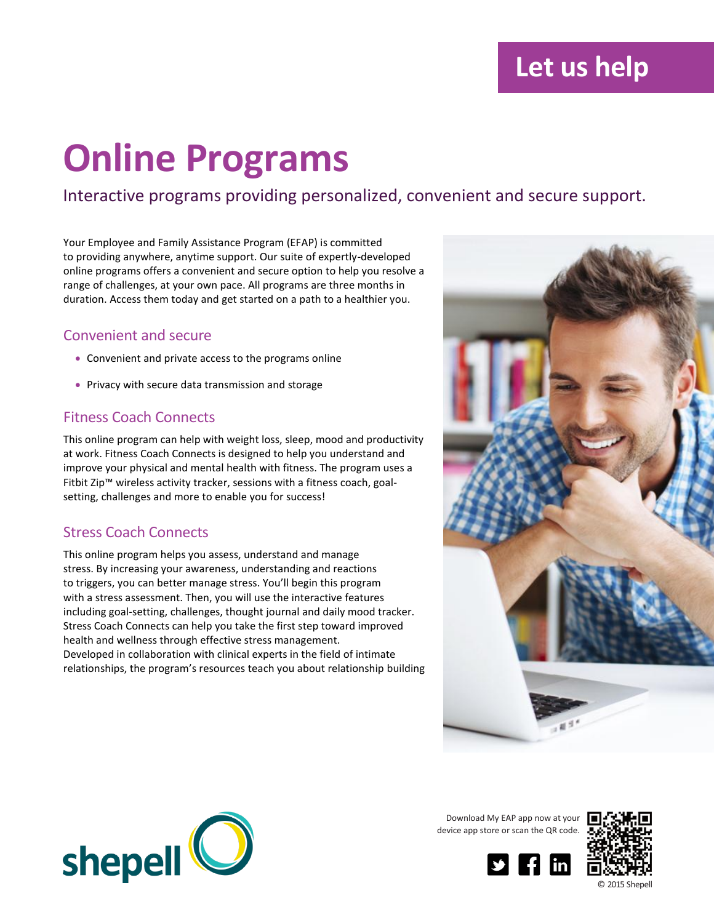## **Let us help**

# **Online Programs**

Interactive programs providing personalized, convenient and secure support.

Your Employee and Family Assistance Program (EFAP) is committed to providing anywhere, anytime support. Our suite of expertly-developed online programs offers a convenient and secure option to help you resolve a range of challenges, at your own pace. All programs are three months in duration. Access them today and get started on a path to a healthier you.

#### Convenient and secure

- Convenient and private access to the programs online
- Privacy with secure data transmission and storage

#### Fitness Coach Connects

This online program can help with weight loss, sleep, mood and productivity at work. Fitness Coach Connects is designed to help you understand and improve your physical and mental health with fitness. The program uses a Fitbit Zip™ wireless activity tracker, sessions with a fitness coach, goalsetting, challenges and more to enable you for success!

#### Stress Coach Connects

This online program helps you assess, understand and manage stress. By increasing your awareness, understanding and reactions to triggers, you can better manage stress. You'll begin this program with a stress assessment. Then, you will use the interactive features including goal-setting, challenges, thought journal and daily mood tracker. Stress Coach Connects can help you take the first step toward improved health and wellness through effective stress management. Developed in collaboration with clinical experts in the field of intimate relationships, the program's resources teach you about relationship building





Download My EAP app now at your device app store or scan the QR code.